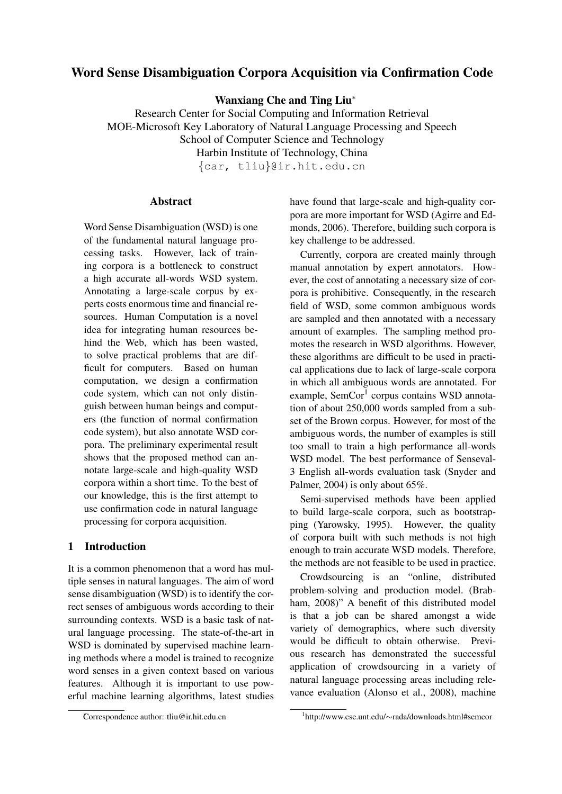# Word Sense Disambiguation Corpora Acquisition via Confirmation Code

Wanxiang Che and Ting Liu<sup>∗</sup>

Research Center for Social Computing and Information Retrieval MOE-Microsoft Key Laboratory of Natural Language Processing and Speech School of Computer Science and Technology Harbin Institute of Technology, China

{car, tliu}@ir.hit.edu.cn

# Abstract

Word Sense Disambiguation (WSD) is one of the fundamental natural language processing tasks. However, lack of training corpora is a bottleneck to construct a high accurate all-words WSD system. Annotating a large-scale corpus by experts costs enormous time and financial resources. Human Computation is a novel idea for integrating human resources behind the Web, which has been wasted, to solve practical problems that are difficult for computers. Based on human computation, we design a confirmation code system, which can not only distinguish between human beings and computers (the function of normal confirmation code system), but also annotate WSD corpora. The preliminary experimental result shows that the proposed method can annotate large-scale and high-quality WSD corpora within a short time. To the best of our knowledge, this is the first attempt to use confirmation code in natural language processing for corpora acquisition.

# 1 Introduction

It is a common phenomenon that a word has multiple senses in natural languages. The aim of word sense disambiguation (WSD) is to identify the correct senses of ambiguous words according to their surrounding contexts. WSD is a basic task of natural language processing. The state-of-the-art in WSD is dominated by supervised machine learning methods where a model is trained to recognize word senses in a given context based on various features. Although it is important to use powerful machine learning algorithms, latest studies have found that large-scale and high-quality corpora are more important for WSD (Agirre and Edmonds, 2006). Therefore, building such corpora is key challenge to be addressed.

Currently, corpora are created mainly through manual annotation by expert annotators. However, the cost of annotating a necessary size of corpora is prohibitive. Consequently, in the research field of WSD, some common ambiguous words are sampled and then annotated with a necessary amount of examples. The sampling method promotes the research in WSD algorithms. However, these algorithms are difficult to be used in practical applications due to lack of large-scale corpora in which all ambiguous words are annotated. For example, SemCor<sup>1</sup> corpus contains WSD annotation of about 250,000 words sampled from a subset of the Brown corpus. However, for most of the ambiguous words, the number of examples is still too small to train a high performance all-words WSD model. The best performance of Senseval-3 English all-words evaluation task (Snyder and Palmer, 2004) is only about 65%.

Semi-supervised methods have been applied to build large-scale corpora, such as bootstrapping (Yarowsky, 1995). However, the quality of corpora built with such methods is not high enough to train accurate WSD models. Therefore, the methods are not feasible to be used in practice.

Crowdsourcing is an "online, distributed problem-solving and production model. (Brabham, 2008)" A benefit of this distributed model is that a job can be shared amongst a wide variety of demographics, where such diversity would be difficult to obtain otherwise. Previous research has demonstrated the successful application of crowdsourcing in a variety of natural language processing areas including relevance evaluation (Alonso et al., 2008), machine

<sup>∗</sup>Correspondence author: tliu@ir.hit.edu.cn

<sup>1</sup> http://www.cse.unt.edu/∼rada/downloads.html#semcor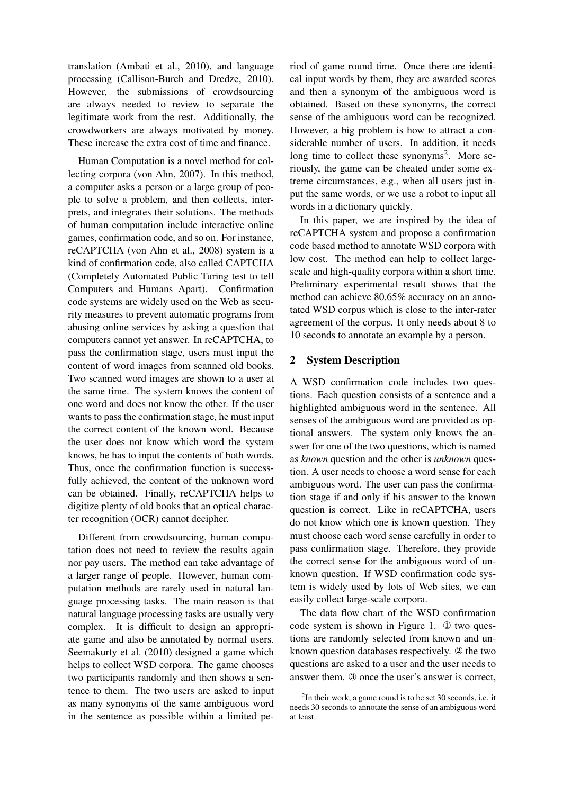translation (Ambati et al., 2010), and language processing (Callison-Burch and Dredze, 2010). However, the submissions of crowdsourcing are always needed to review to separate the legitimate work from the rest. Additionally, the crowdworkers are always motivated by money. These increase the extra cost of time and finance.

Human Computation is a novel method for collecting corpora (von Ahn, 2007). In this method, a computer asks a person or a large group of people to solve a problem, and then collects, interprets, and integrates their solutions. The methods of human computation include interactive online games, confirmation code, and so on. For instance, reCAPTCHA (von Ahn et al., 2008) system is a kind of confirmation code, also called CAPTCHA (Completely Automated Public Turing test to tell Computers and Humans Apart). Confirmation code systems are widely used on the Web as security measures to prevent automatic programs from abusing online services by asking a question that computers cannot yet answer. In reCAPTCHA, to pass the confirmation stage, users must input the content of word images from scanned old books. Two scanned word images are shown to a user at the same time. The system knows the content of one word and does not know the other. If the user wants to pass the confirmation stage, he must input the correct content of the known word. Because the user does not know which word the system knows, he has to input the contents of both words. Thus, once the confirmation function is successfully achieved, the content of the unknown word can be obtained. Finally, reCAPTCHA helps to digitize plenty of old books that an optical character recognition (OCR) cannot decipher.

Different from crowdsourcing, human computation does not need to review the results again nor pay users. The method can take advantage of a larger range of people. However, human computation methods are rarely used in natural language processing tasks. The main reason is that natural language processing tasks are usually very complex. It is difficult to design an appropriate game and also be annotated by normal users. Seemakurty et al. (2010) designed a game which helps to collect WSD corpora. The game chooses two participants randomly and then shows a sentence to them. The two users are asked to input as many synonyms of the same ambiguous word in the sentence as possible within a limited period of game round time. Once there are identical input words by them, they are awarded scores and then a synonym of the ambiguous word is obtained. Based on these synonyms, the correct sense of the ambiguous word can be recognized. However, a big problem is how to attract a considerable number of users. In addition, it needs long time to collect these synonyms<sup>2</sup>. More seriously, the game can be cheated under some extreme circumstances, e.g., when all users just input the same words, or we use a robot to input all words in a dictionary quickly.

In this paper, we are inspired by the idea of reCAPTCHA system and propose a confirmation code based method to annotate WSD corpora with low cost. The method can help to collect largescale and high-quality corpora within a short time. Preliminary experimental result shows that the method can achieve 80.65% accuracy on an annotated WSD corpus which is close to the inter-rater agreement of the corpus. It only needs about 8 to 10 seconds to annotate an example by a person.

## 2 System Description

A WSD confirmation code includes two questions. Each question consists of a sentence and a highlighted ambiguous word in the sentence. All senses of the ambiguous word are provided as optional answers. The system only knows the answer for one of the two questions, which is named as *known* question and the other is *unknown* question. A user needs to choose a word sense for each ambiguous word. The user can pass the confirmation stage if and only if his answer to the known question is correct. Like in reCAPTCHA, users do not know which one is known question. They must choose each word sense carefully in order to pass confirmation stage. Therefore, they provide the correct sense for the ambiguous word of unknown question. If WSD confirmation code system is widely used by lots of Web sites, we can easily collect large-scale corpora.

The data flow chart of the WSD confirmation code system is shown in Figure 1. ① two questions are randomly selected from known and unknown question databases respectively. ② the two questions are asked to a user and the user needs to answer them. ③ once the user's answer is correct,

 $2$ In their work, a game round is to be set 30 seconds, i.e. it needs 30 seconds to annotate the sense of an ambiguous word at least.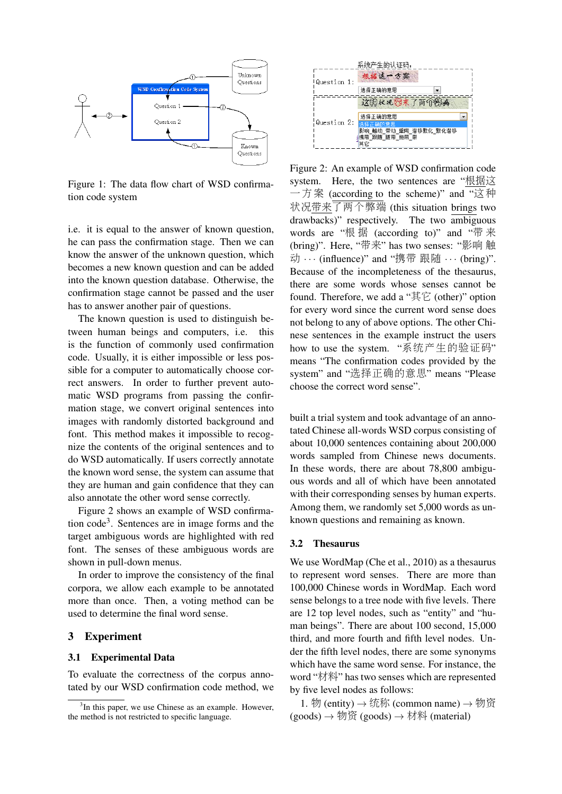

Figure 1: The data flow chart of WSD confirmation code system

i.e. it is equal to the answer of known question, he can pass the confirmation stage. Then we can know the answer of the unknown question, which becomes a new known question and can be added into the known question database. Otherwise, the confirmation stage cannot be passed and the user has to answer another pair of questions.

The known question is used to distinguish between human beings and computers, i.e. this is the function of commonly used confirmation code. Usually, it is either impossible or less possible for a computer to automatically choose correct answers. In order to further prevent automatic WSD programs from passing the confirmation stage, we convert original sentences into images with randomly distorted background and font. This method makes it impossible to recognize the contents of the original sentences and to do WSD automatically. If users correctly annotate the known word sense, the system can assume that they are human and gain confidence that they can also annotate the other word sense correctly.

Figure 2 shows an example of WSD confirmation code<sup>3</sup> . Sentences are in image forms and the target ambiguous words are highlighted with red font. The senses of these ambiguous words are shown in pull-down menus.

In order to improve the consistency of the final corpora, we allow each example to be annotated more than once. Then, a voting method can be used to determine the final word sense.

### 3 Experiment

#### 3.1 Experimental Data

To evaluate the correctness of the corpus annotated by our WSD confirmation code method, we



Figure 2: An example of WSD confirmation code system. Here, the two sentences are "根据这 一方案 (according to the scheme)" and "这种 状况带来了两个弊端 (this situation brings two drawbacks)" respectively. The two ambiguous words are "根 据 (according to)" and "带 来 (bring)". Here, "带来" has two senses: "影<sup>响</sup> <sup>触</sup> 动 … (influence)" and "携带 跟随 … (bring)". Because of the incompleteness of the thesaurus, there are some words whose senses cannot be found. Therefore, we add a "其它 (other)" option for every word since the current word sense does not belong to any of above options. The other Chinese sentences in the example instruct the users how to use the system. "系统产生的验证码" means "The confirmation codes provided by the system" and "选择正确的意思" means "Please choose the correct word sense".

built a trial system and took advantage of an annotated Chinese all-words WSD corpus consisting of about 10,000 sentences containing about 200,000 words sampled from Chinese news documents. In these words, there are about 78,800 ambiguous words and all of which have been annotated with their corresponding senses by human experts. Among them, we randomly set 5,000 words as unknown questions and remaining as known.

#### 3.2 Thesaurus

We use WordMap (Che et al., 2010) as a thesaurus to represent word senses. There are more than 100,000 Chinese words in WordMap. Each word sense belongs to a tree node with five levels. There are 12 top level nodes, such as "entity" and "human beings". There are about 100 second, 15,000 third, and more fourth and fifth level nodes. Under the fifth level nodes, there are some synonyms which have the same word sense. For instance, the word "材料" has two senses which are represented by five level nodes as follows:

1. 物 (entity) → 统称 (common name) → 物资 (goods) <sup>→</sup> 物<sup>资</sup> (goods) <sup>→</sup> <sup>材</sup><sup>料</sup> (material)

<sup>&</sup>lt;sup>3</sup>In this paper, we use Chinese as an example. However, the method is not restricted to specific language.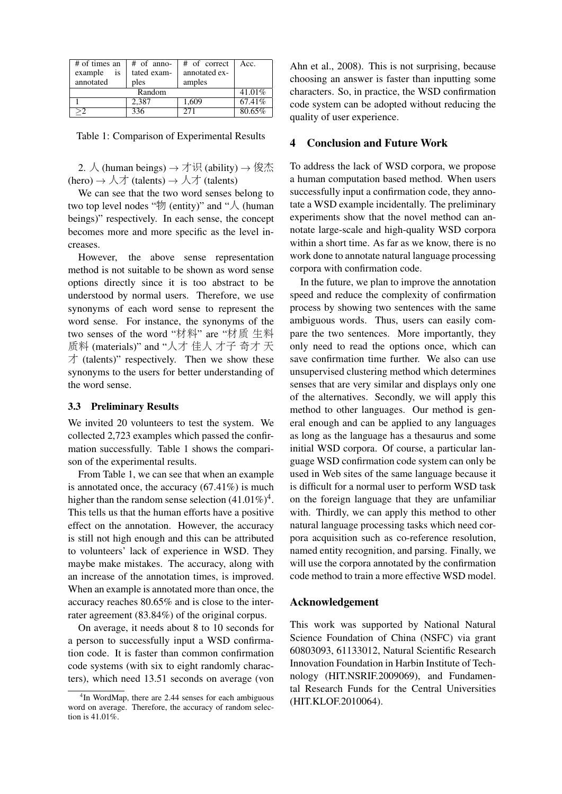| # of times an | # of anno-  | # of correct  | Acc.   |
|---------------|-------------|---------------|--------|
| example<br>is | tated exam- | annotated ex- |        |
| annotated     | ples        | amples        |        |
| Random        |             |               | 41.01% |
|               | 2.387       | 1,609         | 67.41% |
| >2            | $33\bar{6}$ | 271           | 80.65% |

Table 1: Comparison of Experimental Results

2.  $\lambda$  (human beings)  $\rightarrow \overrightarrow{\mathrm{I}}$  (ability)  $\rightarrow \overleftrightarrow{\mathrm{R}}$ (hero)  $\rightarrow \lambda \rightarrow$  (talents)  $\rightarrow \lambda \rightarrow$  (talents)

We can see that the two word senses belong to two top level nodes " $\mathcal{U}$  (entity)" and " $\mathcal{N}$  (human beings)" respectively. In each sense, the concept becomes more and more specific as the level increases.

However, the above sense representation method is not suitable to be shown as word sense options directly since it is too abstract to be understood by normal users. Therefore, we use synonyms of each word sense to represent the word sense. For instance, the synonyms of the two senses of the word "材料" are "材<sup>质</sup> 生<sup>料</sup> <sup>质</sup><sup>料</sup> (materials)" and "人才 <sup>佳</sup><sup>人</sup> 才<sup>子</sup> 奇才 天  $\pm$  (talents)" respectively. Then we show these synonyms to the users for better understanding of the word sense.

#### 3.3 Preliminary Results

We invited 20 volunteers to test the system. We collected 2,723 examples which passed the confirmation successfully. Table 1 shows the comparison of the experimental results.

From Table 1, we can see that when an example is annotated once, the accuracy (67.41%) is much higher than the random sense selection  $(41.01\%)^4$ . This tells us that the human efforts have a positive effect on the annotation. However, the accuracy is still not high enough and this can be attributed to volunteers' lack of experience in WSD. They maybe make mistakes. The accuracy, along with an increase of the annotation times, is improved. When an example is annotated more than once, the accuracy reaches 80.65% and is close to the interrater agreement (83.84%) of the original corpus.

On average, it needs about 8 to 10 seconds for a person to successfully input a WSD confirmation code. It is faster than common confirmation code systems (with six to eight randomly characters), which need 13.51 seconds on average (von

Ahn et al., 2008). This is not surprising, because choosing an answer is faster than inputting some characters. So, in practice, the WSD confirmation code system can be adopted without reducing the quality of user experience.

# 4 Conclusion and Future Work

To address the lack of WSD corpora, we propose a human computation based method. When users successfully input a confirmation code, they annotate a WSD example incidentally. The preliminary experiments show that the novel method can annotate large-scale and high-quality WSD corpora within a short time. As far as we know, there is no work done to annotate natural language processing corpora with confirmation code.

In the future, we plan to improve the annotation speed and reduce the complexity of confirmation process by showing two sentences with the same ambiguous words. Thus, users can easily compare the two sentences. More importantly, they only need to read the options once, which can save confirmation time further. We also can use unsupervised clustering method which determines senses that are very similar and displays only one of the alternatives. Secondly, we will apply this method to other languages. Our method is general enough and can be applied to any languages as long as the language has a thesaurus and some initial WSD corpora. Of course, a particular language WSD confirmation code system can only be used in Web sites of the same language because it is difficult for a normal user to perform WSD task on the foreign language that they are unfamiliar with. Thirdly, we can apply this method to other natural language processing tasks which need corpora acquisition such as co-reference resolution, named entity recognition, and parsing. Finally, we will use the corpora annotated by the confirmation code method to train a more effective WSD model.

## Acknowledgement

This work was supported by National Natural Science Foundation of China (NSFC) via grant 60803093, 61133012, Natural Scientific Research Innovation Foundation in Harbin Institute of Technology (HIT.NSRIF.2009069), and Fundamental Research Funds for the Central Universities (HIT.KLOF.2010064).

<sup>4</sup> In WordMap, there are 2.44 senses for each ambiguous word on average. Therefore, the accuracy of random selection is 41.01%.